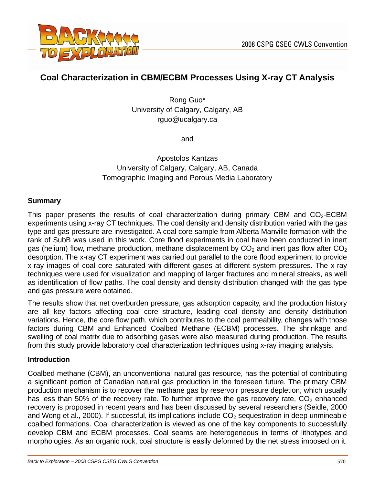

# **Coal Characterization in CBM/ECBM Processes Using X-ray CT Analysis**

Rong Guo\* University of Calgary, Calgary, AB rguo@ucalgary.ca

and

# Apostolos Kantzas University of Calgary, Calgary, AB, Canada Tomographic Imaging and Porous Media Laboratory

#### **Summary**

This paper presents the results of coal characterization during primary CBM and  $CO<sub>2</sub>$ -ECBM experiments using x-ray CT techniques. The coal density and density distribution varied with the gas type and gas pressure are investigated. A coal core sample from Alberta Manville formation with the rank of SubB was used in this work. Core flood experiments in coal have been conducted in inert gas (helium) flow, methane production, methane displacement by  $CO<sub>2</sub>$  and inert gas flow after  $CO<sub>2</sub>$ desorption. The x-ray CT experiment was carried out parallel to the core flood experiment to provide x-ray images of coal core saturated with different gases at different system pressures. The x-ray techniques were used for visualization and mapping of larger fractures and mineral streaks, as well as identification of flow paths. The coal density and density distribution changed with the gas type and gas pressure were obtained.

The results show that net overburden pressure, gas adsorption capacity, and the production history are all key factors affecting coal core structure, leading coal density and density distribution variations. Hence, the core flow path, which contributes to the coal permeability, changes with those factors during CBM and Enhanced Coalbed Methane (ECBM) processes. The shrinkage and swelling of coal matrix due to adsorbing gases were also measured during production. The results from this study provide laboratory coal characterization techniques using x-ray imaging analysis.

#### **Introduction**

Coalbed methane (CBM), an unconventional natural gas resource, has the potential of contributing a significant portion of Canadian natural gas production in the foreseen future. The primary CBM production mechanism is to recover the methane gas by reservoir pressure depletion, which usually has less than 50% of the recovery rate. To further improve the gas recovery rate,  $CO<sub>2</sub>$  enhanced recovery is proposed in recent years and has been discussed by several researchers (Seidle, 2000 and Wong et al., 2000). If successful, its implications include  $CO<sub>2</sub>$  sequestration in deep unmineable coalbed formations. Coal characterization is viewed as one of the key components to successfully develop CBM and ECBM processes. Coal seams are heterogeneous in terms of lithotypes and morphologies. As an organic rock, coal structure is easily deformed by the net stress imposed on it.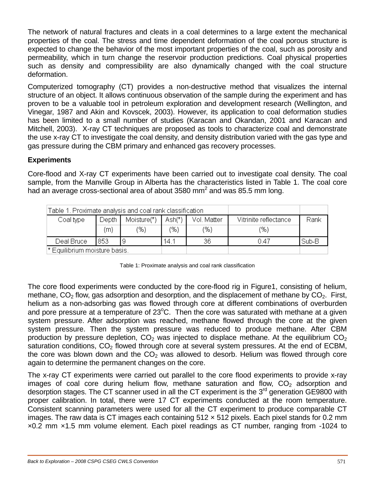The network of natural fractures and cleats in a coal determines to a large extent the mechanical properties of the coal. The stress and time dependent deformation of the coal porous structure is expected to change the behavior of the most important properties of the coal, such as porosity and permeability, which in turn change the reservoir production predictions. Coal physical properties such as density and compressibility are also dynamically changed with the coal structure deformation.

Computerized tomography (CT) provides a non-destructive method that visualizes the internal structure of an object. It allows continuous observation of the sample during the experiment and has proven to be a valuable tool in petroleum exploration and development research (Wellington, and Vinegar, 1987 and Akin and Kovscek, 2003). However, its application to coal deformation studies has been limited to a small number of studies (Karacan and Okandan, 2001 and Karacan and Mitchell, 2003). X-ray CT techniques are proposed as tools to characterize coal and demonstrate the use x-ray CT to investigate the coal density, and density distribution varied with the gas type and gas pressure during the CBM primary and enhanced gas recovery processes.

### **Experiments**

Core-flood and X-ray CT experiments have been carried out to investigate coal density. The coal sample, from the Manville Group in Alberta has the characteristics listed in Table 1. The coal core had an average cross-sectional area of about 3580 mm<sup>2</sup> and was 85.5 mm long.

| Table 1. Proximate analysis and coal rank classification |       |             |          |             |                       |       |
|----------------------------------------------------------|-------|-------------|----------|-------------|-----------------------|-------|
| Coal type                                                | Depth | Moisture(*) | $Ash(*)$ | Vol. Matter | Vitrinite reflectance | Rank  |
|                                                          | (m)   | (%)         | (%)      | (%)         | (% )                  |       |
| Deal Bruce                                               | 1853. |             | 14.1     | 36          | 0.47                  | Sub-B |
| * Equilibrium moisture basis.                            |       |             |          |             |                       |       |

Table 1: Proximate analysis and coal rank classification

The core flood experiments were conducted by the core-flood rig in Figure1, consisting of helium, methane,  $CO<sub>2</sub>$  flow, gas adsorption and desorption, and the displacement of methane by  $CO<sub>2</sub>$ . First, helium as a non-adsorbing gas was flowed through core at different combinations of overburden and pore pressure at a temperature of  $23^{\circ}$ C. Then the core was saturated with methane at a given system pressure. After adsorption was reached, methane flowed through the core at the given system pressure. Then the system pressure was reduced to produce methane. After CBM production by pressure depletion,  $CO<sub>2</sub>$  was injected to displace methane. At the equilibrium  $CO<sub>2</sub>$ saturation conditions,  $CO<sub>2</sub>$  flowed through core at several system pressures. At the end of ECBM, the core was blown down and the  $CO<sub>2</sub>$  was allowed to desorb. Helium was flowed through core again to determine the permanent changes on the core.

The x-ray CT experiments were carried out parallel to the core flood experiments to provide x-ray images of coal core during helium flow, methane saturation and flow,  $CO<sub>2</sub>$  adsorption and desorption stages. The CT scanner used in all the CT experiment is the  $3<sup>rd</sup>$  generation GE9800 with proper calibration. In total, there were 17 CT experiments conducted at the room temperature. Consistent scanning parameters were used for all the CT experiment to produce comparable CT images. The raw data is CT images each containing  $512 \times 512$  pixels. Each pixel stands for 0.2 mm ×0.2 mm ×1.5 mm volume element. Each pixel readings as CT number, ranging from -1024 to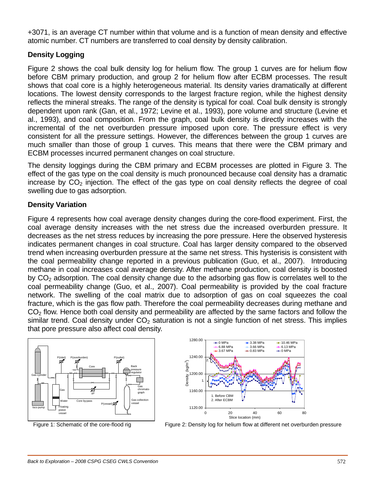+3071, is an average CT number within that volume and is a function of mean density and effective atomic number. CT numbers are transferred to coal density by density calibration.

# **Density Logging**

Figure 2 shows the coal bulk density log for helium flow. The group 1 curves are for helium flow before CBM primary production, and group 2 for helium flow after ECBM processes. The result shows that coal core is a highly heterogeneous material. Its density varies dramatically at different locations. The lowest density corresponds to the largest fracture region, while the highest density reflects the mineral streaks. The range of the density is typical for coal. Coal bulk density is strongly dependent upon rank (Gan, et al., 1972; Levine et al., 1993), pore volume and structure (Levine et al., 1993), and coal composition. From the graph, coal bulk density is directly increases with the incremental of the net overburden pressure imposed upon core. The pressure effect is very consistent for all the pressure settings. However, the differences between the group 1 curves are much smaller than those of group 1 curves. This means that there were the CBM primary and ECBM processes incurred permanent changes on coal structure.

The density loggings during the CBM primary and ECBM processes are plotted in Figure 3. The effect of the gas type on the coal density is much pronounced because coal density has a dramatic increase by  $CO<sub>2</sub>$  injection. The effect of the gas type on coal density reflects the degree of coal swelling due to gas adsorption.

# **Density Variation**

Figure 4 represents how coal average density changes during the core-flood experiment. First, the coal average density increases with the net stress due the increased overburden pressure. It decreases as the net stress reduces by increasing the pore pressure. Here the observed hysteresis indicates permanent changes in coal structure. Coal has larger density compared to the observed trend when increasing overburden pressure at the same net stress. This hysterisis is consistent with the coal permeability change reported in a previous publication (Guo, et al., 2007). Introducing methane in coal increases coal average density. After methane production, coal density is boosted by  $CO<sub>2</sub>$  adsorption. The coal density change due to the adsorbing gas flow is correlates well to the coal permeability change (Guo, et al., 2007). Coal permeability is provided by the coal fracture network. The swelling of the coal matrix due to adsorption of gas on coal squeezes the coal fracture, which is the gas flow path. Therefore the coal permeability decreases during methane and  $CO<sub>2</sub>$  flow. Hence both coal density and permeability are affected by the same factors and follow the similar trend. Coal density under  $CO<sub>2</sub>$  saturation is not a single function of net stress. This implies that pore pressure also affect coal density.





Figure 1: Schematic of the core-flood rig Figure 2: Density log for helium flow at different net overburden pressure